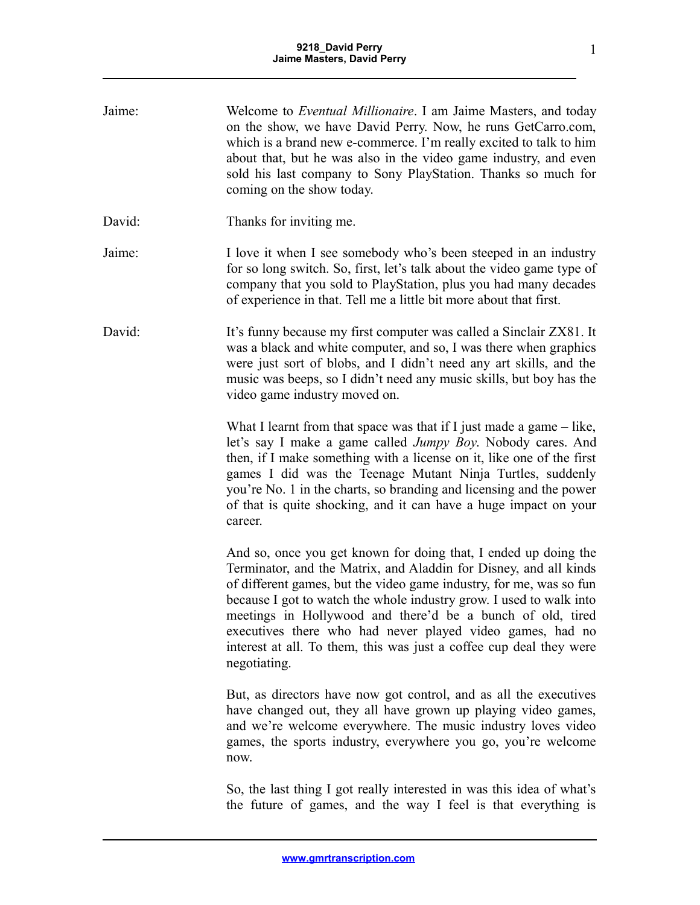| Jaime: | Welcome to <i>Eventual Millionaire</i> . I am Jaime Masters, and today<br>on the show, we have David Perry. Now, he runs GetCarro.com,<br>which is a brand new e-commerce. I'm really excited to talk to him<br>about that, but he was also in the video game industry, and even<br>sold his last company to Sony PlayStation. Thanks so much for<br>coming on the show today.                                                                                                                       |
|--------|------------------------------------------------------------------------------------------------------------------------------------------------------------------------------------------------------------------------------------------------------------------------------------------------------------------------------------------------------------------------------------------------------------------------------------------------------------------------------------------------------|
| David: | Thanks for inviting me.                                                                                                                                                                                                                                                                                                                                                                                                                                                                              |
| Jaime: | I love it when I see somebody who's been steeped in an industry<br>for so long switch. So, first, let's talk about the video game type of<br>company that you sold to PlayStation, plus you had many decades<br>of experience in that. Tell me a little bit more about that first.                                                                                                                                                                                                                   |
| David: | It's funny because my first computer was called a Sinclair ZX81. It<br>was a black and white computer, and so, I was there when graphics<br>were just sort of blobs, and I didn't need any art skills, and the<br>music was beeps, so I didn't need any music skills, but boy has the<br>video game industry moved on.                                                                                                                                                                               |
|        | What I learnt from that space was that if I just made a game $-$ like,<br>let's say I make a game called Jumpy Boy. Nobody cares. And<br>then, if I make something with a license on it, like one of the first<br>games I did was the Teenage Mutant Ninja Turtles, suddenly<br>you're No. 1 in the charts, so branding and licensing and the power<br>of that is quite shocking, and it can have a huge impact on your<br>career.                                                                   |
|        | And so, once you get known for doing that, I ended up doing the<br>Terminator, and the Matrix, and Aladdin for Disney, and all kinds<br>of different games, but the video game industry, for me, was so fun<br>because I got to watch the whole industry grow. I used to walk into<br>meetings in Hollywood and there'd be a bunch of old, tired<br>executives there who had never played video games, had no<br>interest at all. To them, this was just a coffee cup deal they were<br>negotiating. |
|        | But, as directors have now got control, and as all the executives<br>have changed out, they all have grown up playing video games,<br>and we're welcome everywhere. The music industry loves video<br>games, the sports industry, everywhere you go, you're welcome<br>now.                                                                                                                                                                                                                          |
|        | So, the last thing I got really interested in was this idea of what's<br>the future of games, and the way I feel is that everything is                                                                                                                                                                                                                                                                                                                                                               |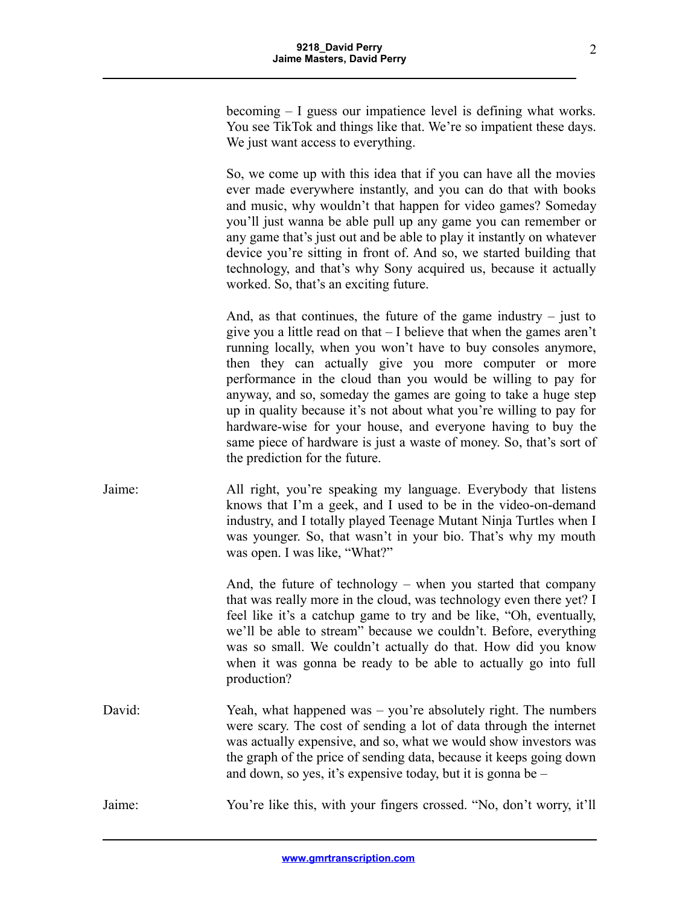becoming – I guess our impatience level is defining what works. You see TikTok and things like that. We're so impatient these days. We just want access to everything.

So, we come up with this idea that if you can have all the movies ever made everywhere instantly, and you can do that with books and music, why wouldn't that happen for video games? Someday you'll just wanna be able pull up any game you can remember or any game that's just out and be able to play it instantly on whatever device you're sitting in front of. And so, we started building that technology, and that's why Sony acquired us, because it actually worked. So, that's an exciting future.

And, as that continues, the future of the game industry  $-$  just to give you a little read on that – I believe that when the games aren't running locally, when you won't have to buy consoles anymore, then they can actually give you more computer or more performance in the cloud than you would be willing to pay for anyway, and so, someday the games are going to take a huge step up in quality because it's not about what you're willing to pay for hardware-wise for your house, and everyone having to buy the same piece of hardware is just a waste of money. So, that's sort of the prediction for the future.

Jaime: All right, you're speaking my language. Everybody that listens knows that I'm a geek, and I used to be in the video-on-demand industry, and I totally played Teenage Mutant Ninja Turtles when I was younger. So, that wasn't in your bio. That's why my mouth was open. I was like, "What?"

> And, the future of technology – when you started that company that was really more in the cloud, was technology even there yet? I feel like it's a catchup game to try and be like, "Oh, eventually, we'll be able to stream" because we couldn't. Before, everything was so small. We couldn't actually do that. How did you know when it was gonna be ready to be able to actually go into full production?

David: Yeah, what happened was – you're absolutely right. The numbers were scary. The cost of sending a lot of data through the internet was actually expensive, and so, what we would show investors was the graph of the price of sending data, because it keeps going down and down, so yes, it's expensive today, but it is gonna be –

Jaime: You're like this, with your fingers crossed. "No, don't worry, it'll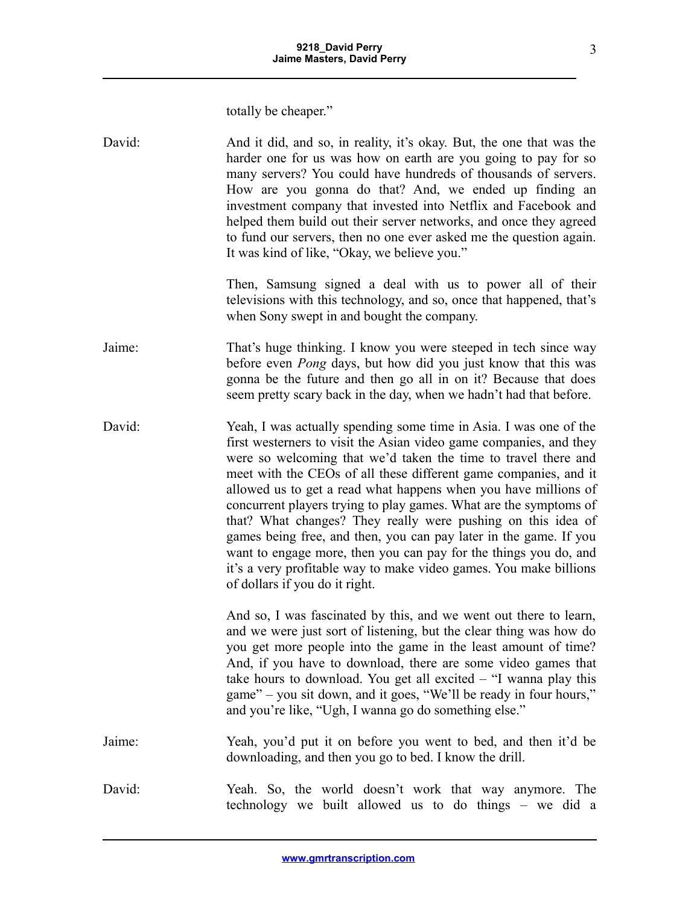totally be cheaper."

| David: | And it did, and so, in reality, it's okay. But, the one that was the<br>harder one for us was how on earth are you going to pay for so<br>many servers? You could have hundreds of thousands of servers.<br>How are you gonna do that? And, we ended up finding an<br>investment company that invested into Netflix and Facebook and<br>helped them build out their server networks, and once they agreed<br>to fund our servers, then no one ever asked me the question again.<br>It was kind of like, "Okay, we believe you."                                                                                                                                                                                                       |
|--------|---------------------------------------------------------------------------------------------------------------------------------------------------------------------------------------------------------------------------------------------------------------------------------------------------------------------------------------------------------------------------------------------------------------------------------------------------------------------------------------------------------------------------------------------------------------------------------------------------------------------------------------------------------------------------------------------------------------------------------------|
|        | Then, Samsung signed a deal with us to power all of their<br>televisions with this technology, and so, once that happened, that's<br>when Sony swept in and bought the company.                                                                                                                                                                                                                                                                                                                                                                                                                                                                                                                                                       |
| Jaime: | That's huge thinking. I know you were steeped in tech since way<br>before even <i>Pong</i> days, but how did you just know that this was<br>gonna be the future and then go all in on it? Because that does<br>seem pretty scary back in the day, when we hadn't had that before.                                                                                                                                                                                                                                                                                                                                                                                                                                                     |
| David: | Yeah, I was actually spending some time in Asia. I was one of the<br>first westerners to visit the Asian video game companies, and they<br>were so welcoming that we'd taken the time to travel there and<br>meet with the CEOs of all these different game companies, and it<br>allowed us to get a read what happens when you have millions of<br>concurrent players trying to play games. What are the symptoms of<br>that? What changes? They really were pushing on this idea of<br>games being free, and then, you can pay later in the game. If you<br>want to engage more, then you can pay for the things you do, and<br>it's a very profitable way to make video games. You make billions<br>of dollars if you do it right. |
|        | And so, I was fascinated by this, and we went out there to learn,<br>and we were just sort of listening, but the clear thing was how do<br>you get more people into the game in the least amount of time?<br>And, if you have to download, there are some video games that<br>take hours to download. You get all excited $-$ "I wanna play this<br>game" – you sit down, and it goes, "We'll be ready in four hours,"<br>and you're like, "Ugh, I wanna go do something else."                                                                                                                                                                                                                                                       |
| Jaime: | Yeah, you'd put it on before you went to bed, and then it'd be<br>downloading, and then you go to bed. I know the drill.                                                                                                                                                                                                                                                                                                                                                                                                                                                                                                                                                                                                              |
| David: | Yeah. So, the world doesn't work that way anymore. The<br>technology we built allowed us to do things - we did a                                                                                                                                                                                                                                                                                                                                                                                                                                                                                                                                                                                                                      |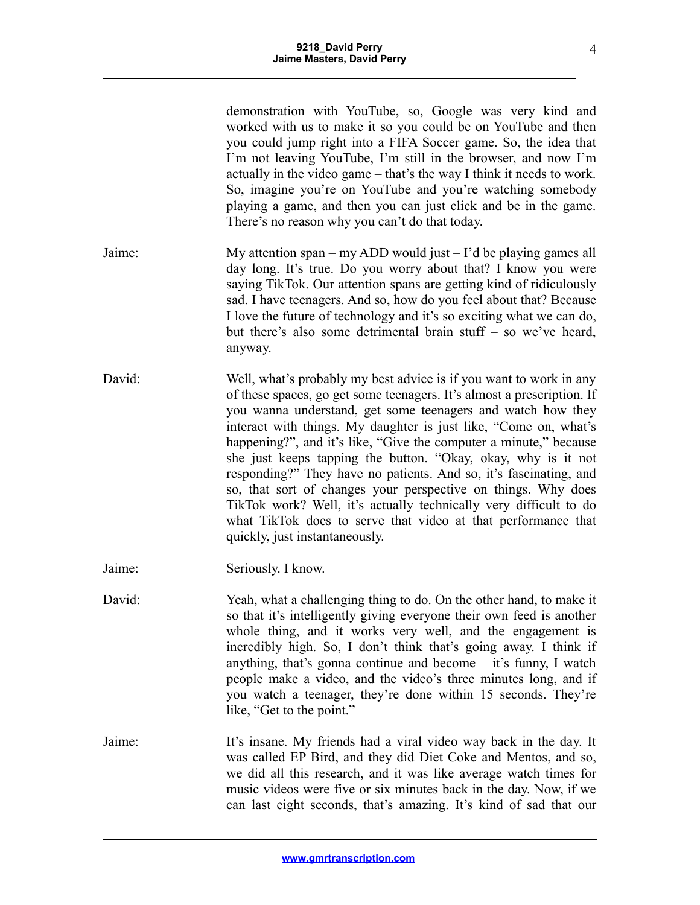|        | demonstration with YouTube, so, Google was very kind and<br>worked with us to make it so you could be on YouTube and then<br>you could jump right into a FIFA Soccer game. So, the idea that<br>I'm not leaving YouTube, I'm still in the browser, and now I'm<br>actually in the video game – that's the way I think it needs to work.<br>So, imagine you're on YouTube and you're watching somebody<br>playing a game, and then you can just click and be in the game.<br>There's no reason why you can't do that today.                                                                                                                                                                                                          |
|--------|-------------------------------------------------------------------------------------------------------------------------------------------------------------------------------------------------------------------------------------------------------------------------------------------------------------------------------------------------------------------------------------------------------------------------------------------------------------------------------------------------------------------------------------------------------------------------------------------------------------------------------------------------------------------------------------------------------------------------------------|
| Jaime: | My attention span – my ADD would just – I'd be playing games all<br>day long. It's true. Do you worry about that? I know you were<br>saying TikTok. Our attention spans are getting kind of ridiculously<br>sad. I have teenagers. And so, how do you feel about that? Because<br>I love the future of technology and it's so exciting what we can do,<br>but there's also some detrimental brain stuff - so we've heard,<br>anyway.                                                                                                                                                                                                                                                                                                |
| David: | Well, what's probably my best advice is if you want to work in any<br>of these spaces, go get some teenagers. It's almost a prescription. If<br>you wanna understand, get some teenagers and watch how they<br>interact with things. My daughter is just like, "Come on, what's<br>happening?", and it's like, "Give the computer a minute," because<br>she just keeps tapping the button. "Okay, okay, why is it not<br>responding?" They have no patients. And so, it's fascinating, and<br>so, that sort of changes your perspective on things. Why does<br>TikTok work? Well, it's actually technically very difficult to do<br>what TikTok does to serve that video at that performance that<br>quickly, just instantaneously. |
| Jaime: | Seriously. I know.                                                                                                                                                                                                                                                                                                                                                                                                                                                                                                                                                                                                                                                                                                                  |
| David: | Yeah, what a challenging thing to do. On the other hand, to make it<br>so that it's intelligently giving everyone their own feed is another<br>whole thing, and it works very well, and the engagement is<br>incredibly high. So, I don't think that's going away. I think if<br>anything, that's gonna continue and become $-$ it's funny, I watch<br>people make a video, and the video's three minutes long, and if<br>you watch a teenager, they're done within 15 seconds. They're<br>like, "Get to the point."                                                                                                                                                                                                                |
| Jaime: | It's insane. My friends had a viral video way back in the day. It<br>was called EP Bird, and they did Diet Coke and Mentos, and so,<br>we did all this research, and it was like average watch times for<br>music videos were five or six minutes back in the day. Now, if we<br>can last eight seconds, that's amazing. It's kind of sad that our                                                                                                                                                                                                                                                                                                                                                                                  |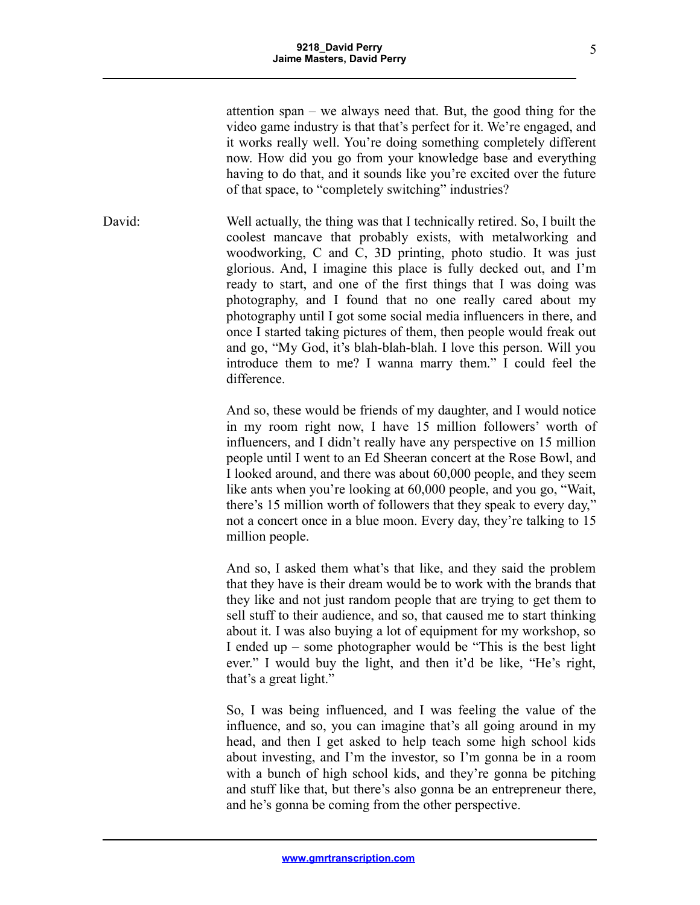attention span – we always need that. But, the good thing for the video game industry is that that's perfect for it. We're engaged, and it works really well. You're doing something completely different now. How did you go from your knowledge base and everything having to do that, and it sounds like you're excited over the future of that space, to "completely switching" industries?

David: Well actually, the thing was that I technically retired. So, I built the coolest mancave that probably exists, with metalworking and woodworking, C and C, 3D printing, photo studio. It was just glorious. And, I imagine this place is fully decked out, and I'm ready to start, and one of the first things that I was doing was photography, and I found that no one really cared about my photography until I got some social media influencers in there, and once I started taking pictures of them, then people would freak out and go, "My God, it's blah-blah-blah. I love this person. Will you introduce them to me? I wanna marry them." I could feel the difference.

> And so, these would be friends of my daughter, and I would notice in my room right now, I have 15 million followers' worth of influencers, and I didn't really have any perspective on 15 million people until I went to an Ed Sheeran concert at the Rose Bowl, and I looked around, and there was about 60,000 people, and they seem like ants when you're looking at 60,000 people, and you go, "Wait, there's 15 million worth of followers that they speak to every day," not a concert once in a blue moon. Every day, they're talking to 15 million people.

> And so, I asked them what's that like, and they said the problem that they have is their dream would be to work with the brands that they like and not just random people that are trying to get them to sell stuff to their audience, and so, that caused me to start thinking about it. I was also buying a lot of equipment for my workshop, so I ended up – some photographer would be "This is the best light ever." I would buy the light, and then it'd be like, "He's right, that's a great light."

> So, I was being influenced, and I was feeling the value of the influence, and so, you can imagine that's all going around in my head, and then I get asked to help teach some high school kids about investing, and I'm the investor, so I'm gonna be in a room with a bunch of high school kids, and they're gonna be pitching and stuff like that, but there's also gonna be an entrepreneur there, and he's gonna be coming from the other perspective.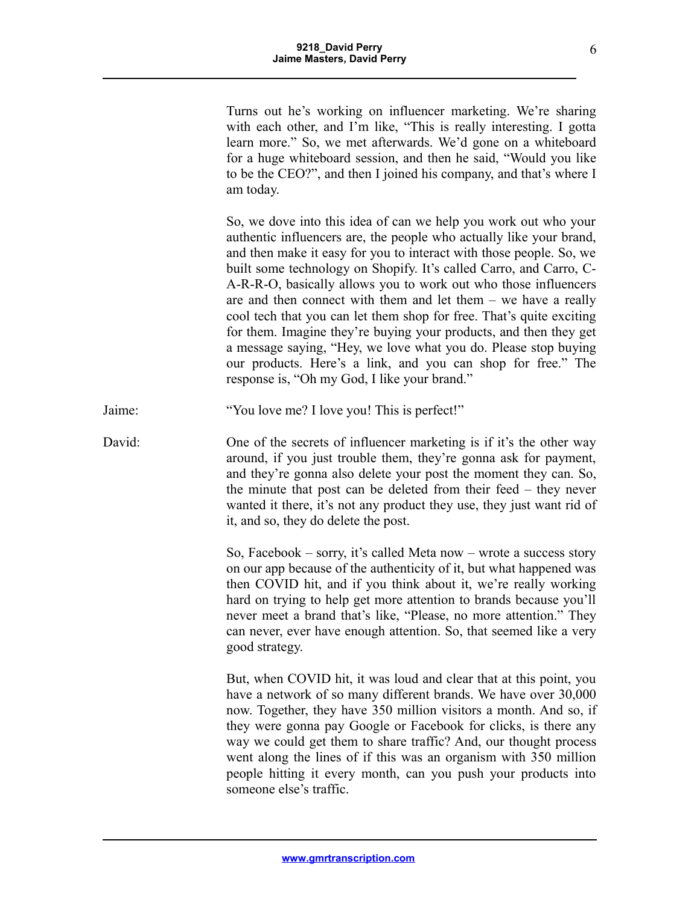Turns out he's working on influencer marketing. We're sharing with each other, and I'm like, "This is really interesting. I gotta learn more." So, we met afterwards. We'd gone on a whiteboard for a huge whiteboard session, and then he said, "Would you like to be the CEO?", and then I joined his company, and that's where I am today.

So, we dove into this idea of can we help you work out who your authentic influencers are, the people who actually like your brand, and then make it easy for you to interact with those people. So, we built some technology on Shopify. It's called Carro, and Carro, C-A-R-R-O, basically allows you to work out who those influencers are and then connect with them and let them – we have a really cool tech that you can let them shop for free. That's quite exciting for them. Imagine they're buying your products, and then they get a message saying, "Hey, we love what you do. Please stop buying our products. Here's a link, and you can shop for free." The response is, "Oh my God, I like your brand."

Jaime: "You love me? I love you! This is perfect!"

David: One of the secrets of influencer marketing is if it's the other way around, if you just trouble them, they're gonna ask for payment, and they're gonna also delete your post the moment they can. So, the minute that post can be deleted from their feed – they never wanted it there, it's not any product they use, they just want rid of it, and so, they do delete the post.

> So, Facebook – sorry, it's called Meta now – wrote a success story on our app because of the authenticity of it, but what happened was then COVID hit, and if you think about it, we're really working hard on trying to help get more attention to brands because you'll never meet a brand that's like, "Please, no more attention." They can never, ever have enough attention. So, that seemed like a very good strategy.

> But, when COVID hit, it was loud and clear that at this point, you have a network of so many different brands. We have over 30,000 now. Together, they have 350 million visitors a month. And so, if they were gonna pay Google or Facebook for clicks, is there any way we could get them to share traffic? And, our thought process went along the lines of if this was an organism with 350 million people hitting it every month, can you push your products into someone else's traffic.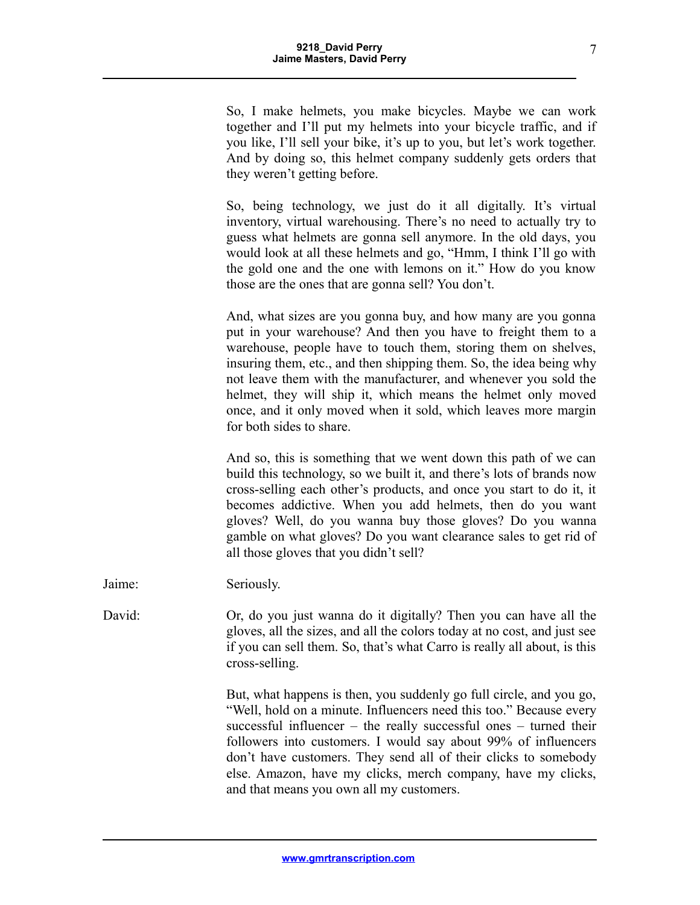So, I make helmets, you make bicycles. Maybe we can work together and I'll put my helmets into your bicycle traffic, and if you like, I'll sell your bike, it's up to you, but let's work together. And by doing so, this helmet company suddenly gets orders that they weren't getting before.

So, being technology, we just do it all digitally. It's virtual inventory, virtual warehousing. There's no need to actually try to guess what helmets are gonna sell anymore. In the old days, you would look at all these helmets and go, "Hmm, I think I'll go with the gold one and the one with lemons on it." How do you know those are the ones that are gonna sell? You don't.

And, what sizes are you gonna buy, and how many are you gonna put in your warehouse? And then you have to freight them to a warehouse, people have to touch them, storing them on shelves, insuring them, etc., and then shipping them. So, the idea being why not leave them with the manufacturer, and whenever you sold the helmet, they will ship it, which means the helmet only moved once, and it only moved when it sold, which leaves more margin for both sides to share.

And so, this is something that we went down this path of we can build this technology, so we built it, and there's lots of brands now cross-selling each other's products, and once you start to do it, it becomes addictive. When you add helmets, then do you want gloves? Well, do you wanna buy those gloves? Do you wanna gamble on what gloves? Do you want clearance sales to get rid of all those gloves that you didn't sell?

Jaime: Seriously.

David: Or, do you just wanna do it digitally? Then you can have all the gloves, all the sizes, and all the colors today at no cost, and just see if you can sell them. So, that's what Carro is really all about, is this cross-selling.

> But, what happens is then, you suddenly go full circle, and you go, "Well, hold on a minute. Influencers need this too." Because every successful influencer – the really successful ones – turned their followers into customers. I would say about 99% of influencers don't have customers. They send all of their clicks to somebody else. Amazon, have my clicks, merch company, have my clicks, and that means you own all my customers.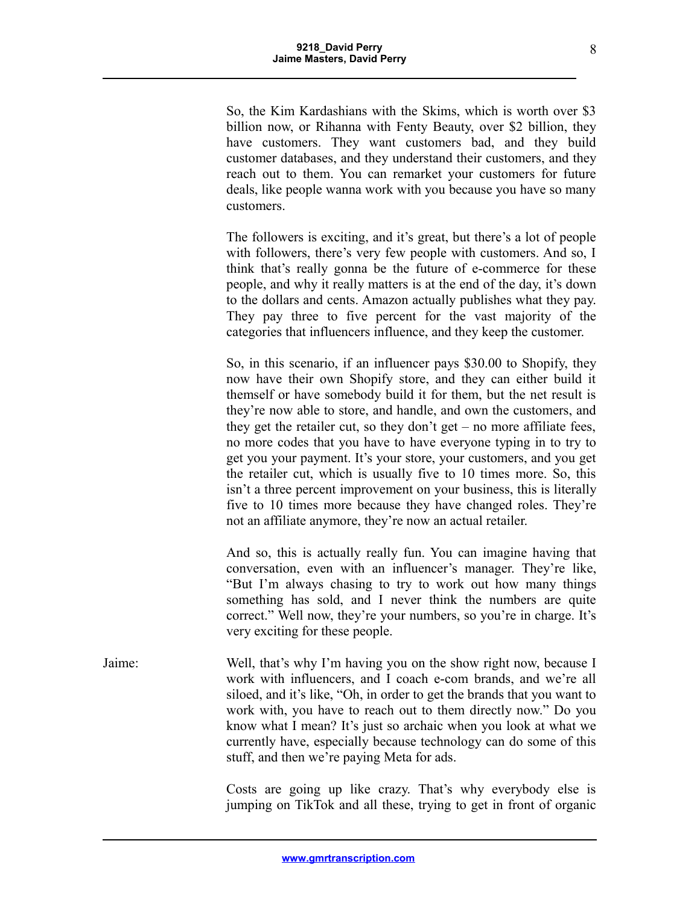So, the Kim Kardashians with the Skims, which is worth over \$3 billion now, or Rihanna with Fenty Beauty, over \$2 billion, they have customers. They want customers bad, and they build customer databases, and they understand their customers, and they reach out to them. You can remarket your customers for future deals, like people wanna work with you because you have so many customers.

The followers is exciting, and it's great, but there's a lot of people with followers, there's very few people with customers. And so, I think that's really gonna be the future of e-commerce for these people, and why it really matters is at the end of the day, it's down to the dollars and cents. Amazon actually publishes what they pay. They pay three to five percent for the vast majority of the categories that influencers influence, and they keep the customer.

So, in this scenario, if an influencer pays \$30.00 to Shopify, they now have their own Shopify store, and they can either build it themself or have somebody build it for them, but the net result is they're now able to store, and handle, and own the customers, and they get the retailer cut, so they don't get – no more affiliate fees, no more codes that you have to have everyone typing in to try to get you your payment. It's your store, your customers, and you get the retailer cut, which is usually five to 10 times more. So, this isn't a three percent improvement on your business, this is literally five to 10 times more because they have changed roles. They're not an affiliate anymore, they're now an actual retailer.

And so, this is actually really fun. You can imagine having that conversation, even with an influencer's manager. They're like, "But I'm always chasing to try to work out how many things something has sold, and I never think the numbers are quite correct." Well now, they're your numbers, so you're in charge. It's very exciting for these people.

Jaime: Well, that's why I'm having you on the show right now, because I work with influencers, and I coach e-com brands, and we're all siloed, and it's like, "Oh, in order to get the brands that you want to work with, you have to reach out to them directly now." Do you know what I mean? It's just so archaic when you look at what we currently have, especially because technology can do some of this stuff, and then we're paying Meta for ads.

> Costs are going up like crazy. That's why everybody else is jumping on TikTok and all these, trying to get in front of organic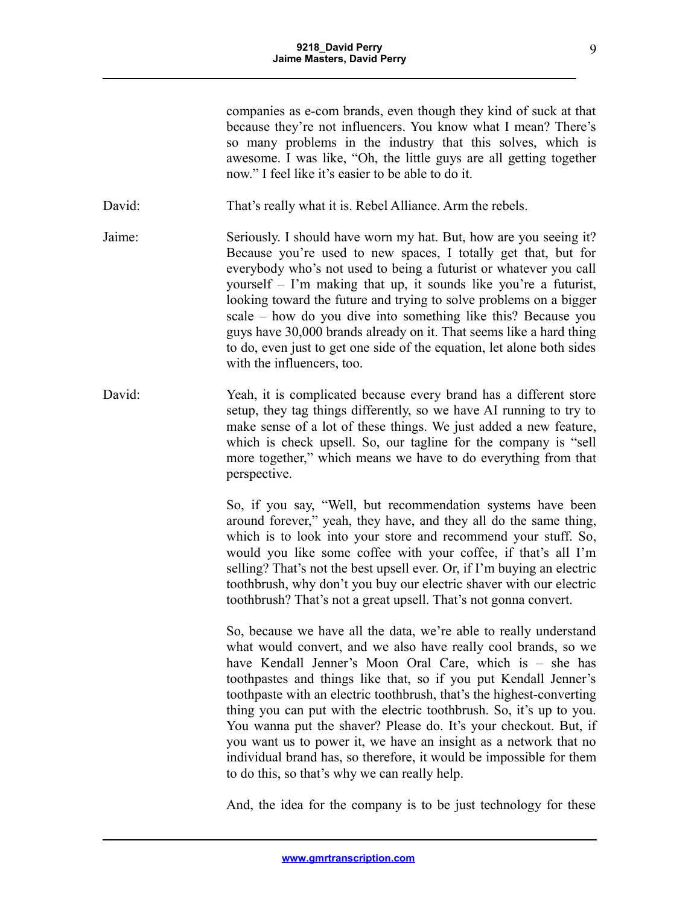companies as e-com brands, even though they kind of suck at that because they're not influencers. You know what I mean? There's so many problems in the industry that this solves, which is awesome. I was like, "Oh, the little guys are all getting together now." I feel like it's easier to be able to do it.

David: That's really what it is. Rebel Alliance. Arm the rebels.

- Jaime: Seriously. I should have worn my hat. But, how are you seeing it? Because you're used to new spaces, I totally get that, but for everybody who's not used to being a futurist or whatever you call yourself – I'm making that up, it sounds like you're a futurist, looking toward the future and trying to solve problems on a bigger scale – how do you dive into something like this? Because you guys have 30,000 brands already on it. That seems like a hard thing to do, even just to get one side of the equation, let alone both sides with the influencers, too.
- David: Yeah, it is complicated because every brand has a different store setup, they tag things differently, so we have AI running to try to make sense of a lot of these things. We just added a new feature, which is check upsell. So, our tagline for the company is "sell more together," which means we have to do everything from that perspective.

So, if you say, "Well, but recommendation systems have been around forever," yeah, they have, and they all do the same thing, which is to look into your store and recommend your stuff. So, would you like some coffee with your coffee, if that's all I'm selling? That's not the best upsell ever. Or, if I'm buying an electric toothbrush, why don't you buy our electric shaver with our electric toothbrush? That's not a great upsell. That's not gonna convert.

So, because we have all the data, we're able to really understand what would convert, and we also have really cool brands, so we have Kendall Jenner's Moon Oral Care, which is – she has toothpastes and things like that, so if you put Kendall Jenner's toothpaste with an electric toothbrush, that's the highest-converting thing you can put with the electric toothbrush. So, it's up to you. You wanna put the shaver? Please do. It's your checkout. But, if you want us to power it, we have an insight as a network that no individual brand has, so therefore, it would be impossible for them to do this, so that's why we can really help.

And, the idea for the company is to be just technology for these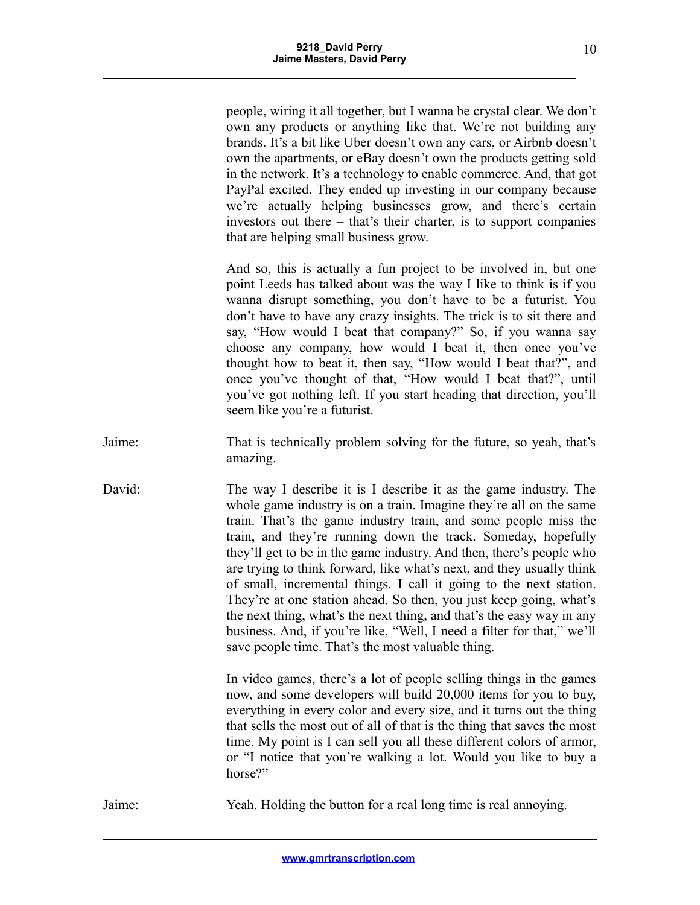people, wiring it all together, but I wanna be crystal clear. We don't own any products or anything like that. We're not building any brands. It's a bit like Uber doesn't own any cars, or Airbnb doesn't own the apartments, or eBay doesn't own the products getting sold in the network. It's a technology to enable commerce. And, that got PayPal excited. They ended up investing in our company because we're actually helping businesses grow, and there's certain investors out there – that's their charter, is to support companies that are helping small business grow.

And so, this is actually a fun project to be involved in, but one point Leeds has talked about was the way I like to think is if you wanna disrupt something, you don't have to be a futurist. You don't have to have any crazy insights. The trick is to sit there and say, "How would I beat that company?" So, if you wanna say choose any company, how would I beat it, then once you've thought how to beat it, then say, "How would I beat that?", and once you've thought of that, "How would I beat that?", until you've got nothing left. If you start heading that direction, you'll seem like you're a futurist.

- Jaime: That is technically problem solving for the future, so yeah, that's amazing.
- David: The way I describe it is I describe it as the game industry. The whole game industry is on a train. Imagine they're all on the same train. That's the game industry train, and some people miss the train, and they're running down the track. Someday, hopefully they'll get to be in the game industry. And then, there's people who are trying to think forward, like what's next, and they usually think of small, incremental things. I call it going to the next station. They're at one station ahead. So then, you just keep going, what's the next thing, what's the next thing, and that's the easy way in any business. And, if you're like, "Well, I need a filter for that," we'll save people time. That's the most valuable thing.

In video games, there's a lot of people selling things in the games now, and some developers will build 20,000 items for you to buy, everything in every color and every size, and it turns out the thing that sells the most out of all of that is the thing that saves the most time. My point is I can sell you all these different colors of armor, or "I notice that you're walking a lot. Would you like to buy a horse?"

Jaime: Yeah. Holding the button for a real long time is real annoying.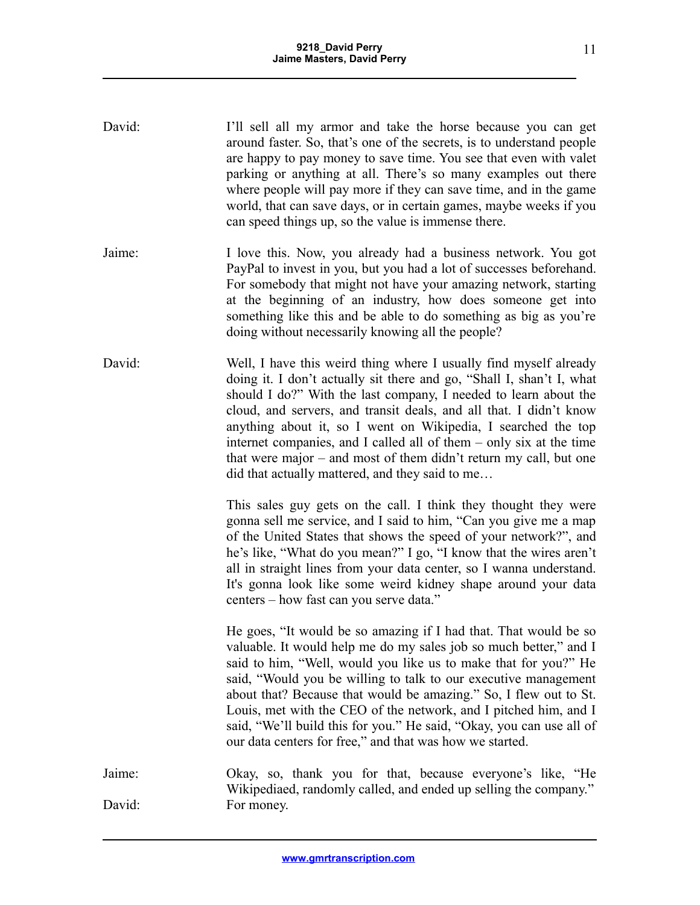| David:           | I'll sell all my armor and take the horse because you can get<br>around faster. So, that's one of the secrets, is to understand people<br>are happy to pay money to save time. You see that even with valet<br>parking or anything at all. There's so many examples out there<br>where people will pay more if they can save time, and in the game<br>world, that can save days, or in certain games, maybe weeks if you<br>can speed things up, so the value is immense there.                                                                          |
|------------------|----------------------------------------------------------------------------------------------------------------------------------------------------------------------------------------------------------------------------------------------------------------------------------------------------------------------------------------------------------------------------------------------------------------------------------------------------------------------------------------------------------------------------------------------------------|
| Jaime:           | I love this. Now, you already had a business network. You got<br>PayPal to invest in you, but you had a lot of successes beforehand.<br>For somebody that might not have your amazing network, starting<br>at the beginning of an industry, how does someone get into<br>something like this and be able to do something as big as you're<br>doing without necessarily knowing all the people?                                                                                                                                                           |
| David:           | Well, I have this weird thing where I usually find myself already<br>doing it. I don't actually sit there and go, "Shall I, shan't I, what<br>should I do?" With the last company, I needed to learn about the<br>cloud, and servers, and transit deals, and all that. I didn't know<br>anything about it, so I went on Wikipedia, I searched the top<br>internet companies, and I called all of them – only six at the time<br>that were major – and most of them didn't return my call, but one<br>did that actually mattered, and they said to me     |
|                  | This sales guy gets on the call. I think they thought they were<br>gonna sell me service, and I said to him, "Can you give me a map<br>of the United States that shows the speed of your network?", and<br>he's like, "What do you mean?" I go, "I know that the wires aren't<br>all in straight lines from your data center, so I wanna understand.<br>It's gonna look like some weird kidney shape around your data<br>centers - how fast can you serve data."                                                                                         |
|                  | He goes, "It would be so amazing if I had that. That would be so<br>valuable. It would help me do my sales job so much better," and I<br>said to him, "Well, would you like us to make that for you?" He<br>said, "Would you be willing to talk to our executive management<br>about that? Because that would be amazing." So, I flew out to St.<br>Louis, met with the CEO of the network, and I pitched him, and I<br>said, "We'll build this for you." He said, "Okay, you can use all of<br>our data centers for free," and that was how we started. |
| Jaime:<br>David: | Okay, so, thank you for that, because everyone's like, "He<br>Wikipediaed, randomly called, and ended up selling the company."<br>For money.                                                                                                                                                                                                                                                                                                                                                                                                             |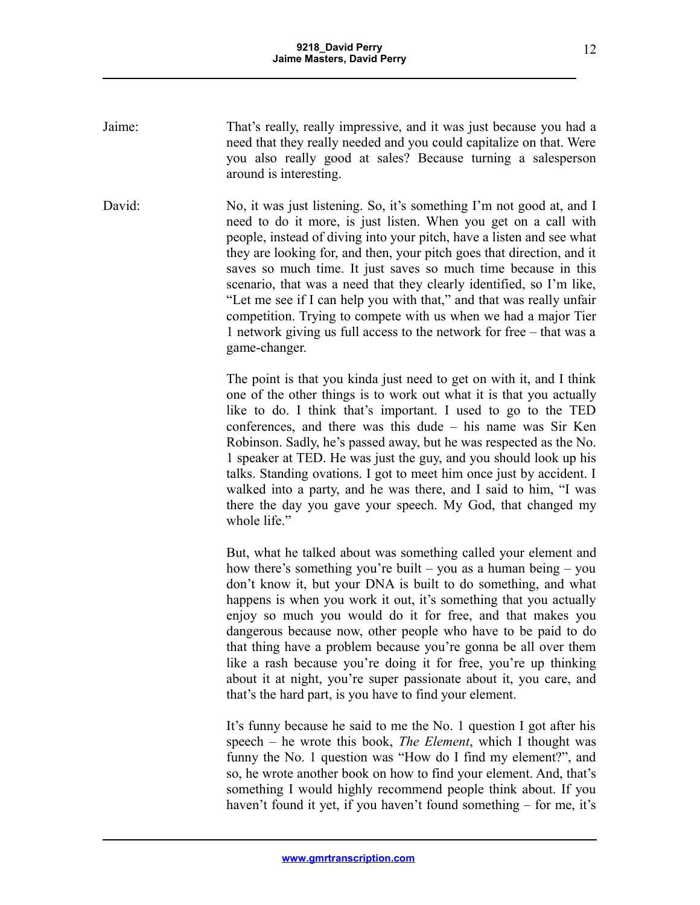- Jaime: That's really, really impressive, and it was just because you had a need that they really needed and you could capitalize on that. Were you also really good at sales? Because turning a salesperson around is interesting.
- David: No, it was just listening. So, it's something I'm not good at, and I need to do it more, is just listen. When you get on a call with people, instead of diving into your pitch, have a listen and see what they are looking for, and then, your pitch goes that direction, and it saves so much time. It just saves so much time because in this scenario, that was a need that they clearly identified, so I'm like, "Let me see if I can help you with that," and that was really unfair competition. Trying to compete with us when we had a major Tier 1 network giving us full access to the network for free – that was a game-changer.

The point is that you kinda just need to get on with it, and I think one of the other things is to work out what it is that you actually like to do. I think that's important. I used to go to the TED conferences, and there was this dude – his name was Sir Ken Robinson. Sadly, he's passed away, but he was respected as the No. 1 speaker at TED. He was just the guy, and you should look up his talks. Standing ovations. I got to meet him once just by accident. I walked into a party, and he was there, and I said to him, "I was there the day you gave your speech. My God, that changed my whole life."

But, what he talked about was something called your element and how there's something you're built – you as a human being – you don't know it, but your DNA is built to do something, and what happens is when you work it out, it's something that you actually enjoy so much you would do it for free, and that makes you dangerous because now, other people who have to be paid to do that thing have a problem because you're gonna be all over them like a rash because you're doing it for free, you're up thinking about it at night, you're super passionate about it, you care, and that's the hard part, is you have to find your element.

It's funny because he said to me the No. 1 question I got after his speech – he wrote this book, *The Element*, which I thought was funny the No. 1 question was "How do I find my element?", and so, he wrote another book on how to find your element. And, that's something I would highly recommend people think about. If you haven't found it yet, if you haven't found something – for me, it's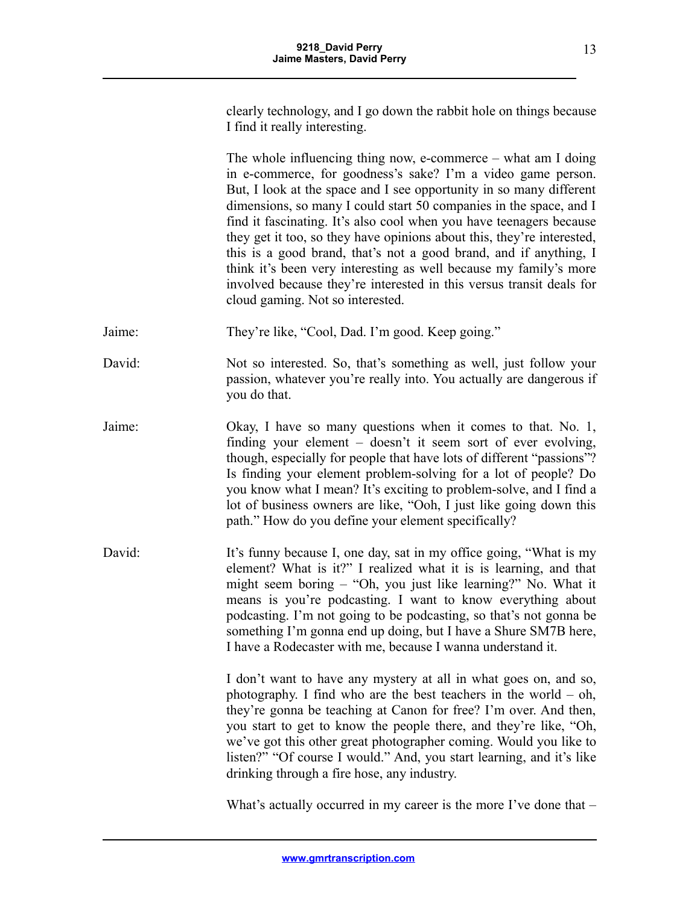clearly technology, and I go down the rabbit hole on things because I find it really interesting.

The whole influencing thing now, e-commerce – what am I doing in e-commerce, for goodness's sake? I'm a video game person. But, I look at the space and I see opportunity in so many different dimensions, so many I could start 50 companies in the space, and I find it fascinating. It's also cool when you have teenagers because they get it too, so they have opinions about this, they're interested, this is a good brand, that's not a good brand, and if anything, I think it's been very interesting as well because my family's more involved because they're interested in this versus transit deals for cloud gaming. Not so interested.

Jaime: They're like, "Cool, Dad. I'm good. Keep going."

David: Not so interested. So, that's something as well, just follow your passion, whatever you're really into. You actually are dangerous if you do that.

- Jaime: Okay, I have so many questions when it comes to that. No. 1, finding your element – doesn't it seem sort of ever evolving, though, especially for people that have lots of different "passions"? Is finding your element problem-solving for a lot of people? Do you know what I mean? It's exciting to problem-solve, and I find a lot of business owners are like, "Ooh, I just like going down this path." How do you define your element specifically?
- David: It's funny because I, one day, sat in my office going, "What is my element? What is it?" I realized what it is is learning, and that might seem boring – "Oh, you just like learning?" No. What it means is you're podcasting. I want to know everything about podcasting. I'm not going to be podcasting, so that's not gonna be something I'm gonna end up doing, but I have a Shure SM7B here, I have a Rodecaster with me, because I wanna understand it.

I don't want to have any mystery at all in what goes on, and so, photography. I find who are the best teachers in the world – oh, they're gonna be teaching at Canon for free? I'm over. And then, you start to get to know the people there, and they're like, "Oh, we've got this other great photographer coming. Would you like to listen?" "Of course I would." And, you start learning, and it's like drinking through a fire hose, any industry.

What's actually occurred in my career is the more I've done that –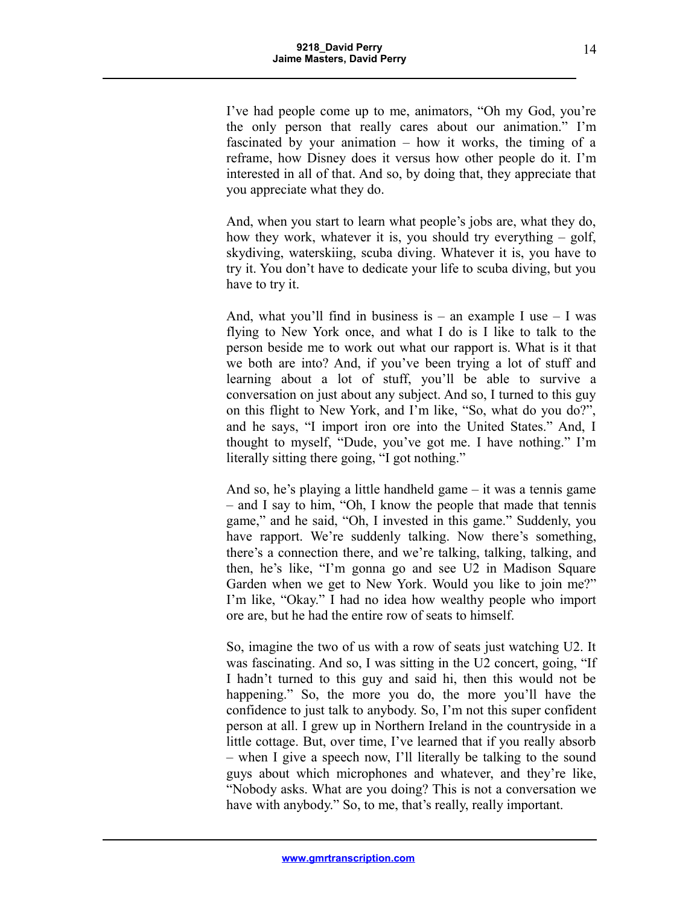I've had people come up to me, animators, "Oh my God, you're the only person that really cares about our animation." I'm fascinated by your animation – how it works, the timing of a reframe, how Disney does it versus how other people do it. I'm interested in all of that. And so, by doing that, they appreciate that you appreciate what they do.

And, when you start to learn what people's jobs are, what they do, how they work, whatever it is, you should try everything – golf, skydiving, waterskiing, scuba diving. Whatever it is, you have to try it. You don't have to dedicate your life to scuba diving, but you have to try it.

And, what you'll find in business is – an example I use – I was flying to New York once, and what I do is I like to talk to the person beside me to work out what our rapport is. What is it that we both are into? And, if you've been trying a lot of stuff and learning about a lot of stuff, you'll be able to survive a conversation on just about any subject. And so, I turned to this guy on this flight to New York, and I'm like, "So, what do you do?", and he says, "I import iron ore into the United States." And, I thought to myself, "Dude, you've got me. I have nothing." I'm literally sitting there going, "I got nothing."

And so, he's playing a little handheld game – it was a tennis game – and I say to him, "Oh, I know the people that made that tennis game," and he said, "Oh, I invested in this game." Suddenly, you have rapport. We're suddenly talking. Now there's something, there's a connection there, and we're talking, talking, talking, and then, he's like, "I'm gonna go and see U2 in Madison Square Garden when we get to New York. Would you like to join me?" I'm like, "Okay." I had no idea how wealthy people who import ore are, but he had the entire row of seats to himself.

So, imagine the two of us with a row of seats just watching U2. It was fascinating. And so, I was sitting in the U2 concert, going, "If I hadn't turned to this guy and said hi, then this would not be happening." So, the more you do, the more you'll have the confidence to just talk to anybody. So, I'm not this super confident person at all. I grew up in Northern Ireland in the countryside in a little cottage. But, over time, I've learned that if you really absorb – when I give a speech now, I'll literally be talking to the sound guys about which microphones and whatever, and they're like, "Nobody asks. What are you doing? This is not a conversation we have with anybody." So, to me, that's really, really important.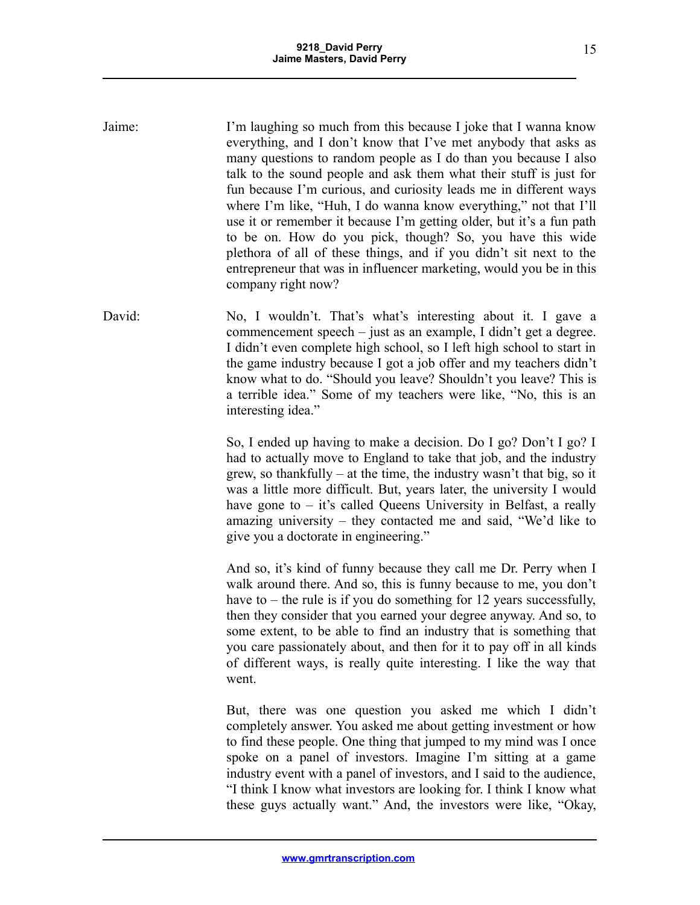Jaime: I'm laughing so much from this because I joke that I wanna know everything, and I don't know that I've met anybody that asks as many questions to random people as I do than you because I also talk to the sound people and ask them what their stuff is just for fun because I'm curious, and curiosity leads me in different ways where I'm like, "Huh, I do wanna know everything," not that I'll use it or remember it because I'm getting older, but it's a fun path to be on. How do you pick, though? So, you have this wide plethora of all of these things, and if you didn't sit next to the entrepreneur that was in influencer marketing, would you be in this company right now? David: No, I wouldn't. That's what's interesting about it. I gave a

commencement speech – just as an example, I didn't get a degree. I didn't even complete high school, so I left high school to start in the game industry because I got a job offer and my teachers didn't know what to do. "Should you leave? Shouldn't you leave? This is a terrible idea." Some of my teachers were like, "No, this is an interesting idea."

> So, I ended up having to make a decision. Do I go? Don't I go? I had to actually move to England to take that job, and the industry grew, so thankfully – at the time, the industry wasn't that big, so it was a little more difficult. But, years later, the university I would have gone to – it's called Queens University in Belfast, a really amazing university – they contacted me and said, "We'd like to give you a doctorate in engineering."

> And so, it's kind of funny because they call me Dr. Perry when I walk around there. And so, this is funny because to me, you don't have to – the rule is if you do something for 12 years successfully, then they consider that you earned your degree anyway. And so, to some extent, to be able to find an industry that is something that you care passionately about, and then for it to pay off in all kinds of different ways, is really quite interesting. I like the way that went.

> But, there was one question you asked me which I didn't completely answer. You asked me about getting investment or how to find these people. One thing that jumped to my mind was I once spoke on a panel of investors. Imagine I'm sitting at a game industry event with a panel of investors, and I said to the audience, "I think I know what investors are looking for. I think I know what these guys actually want." And, the investors were like, "Okay,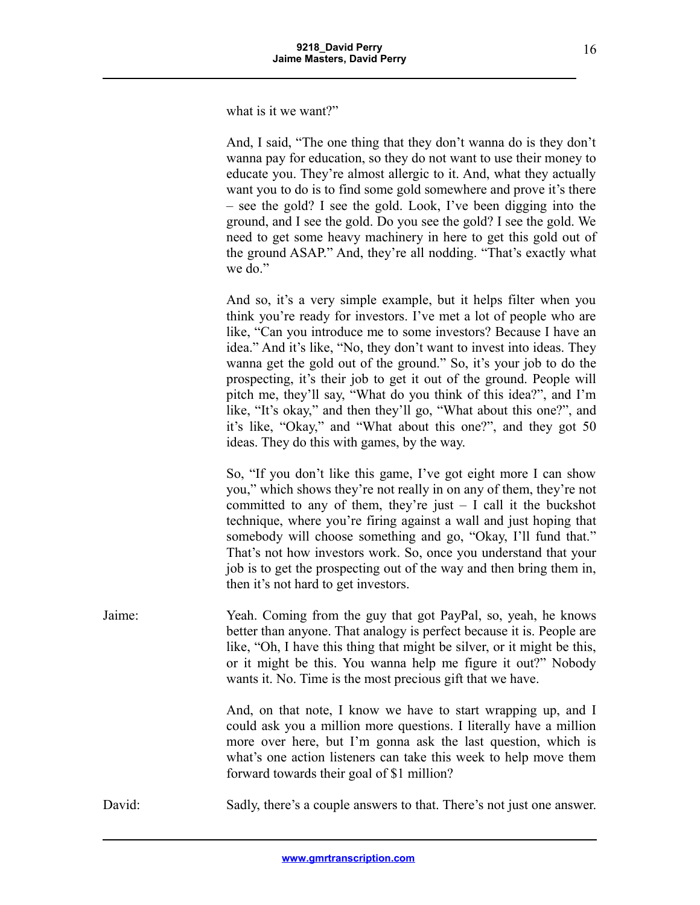what is it we want?"

And, I said, "The one thing that they don't wanna do is they don't wanna pay for education, so they do not want to use their money to educate you. They're almost allergic to it. And, what they actually want you to do is to find some gold somewhere and prove it's there – see the gold? I see the gold. Look, I've been digging into the ground, and I see the gold. Do you see the gold? I see the gold. We need to get some heavy machinery in here to get this gold out of the ground ASAP." And, they're all nodding. "That's exactly what we do."

And so, it's a very simple example, but it helps filter when you think you're ready for investors. I've met a lot of people who are like, "Can you introduce me to some investors? Because I have an idea." And it's like, "No, they don't want to invest into ideas. They wanna get the gold out of the ground." So, it's your job to do the prospecting, it's their job to get it out of the ground. People will pitch me, they'll say, "What do you think of this idea?", and I'm like, "It's okay," and then they'll go, "What about this one?", and it's like, "Okay," and "What about this one?", and they got 50 ideas. They do this with games, by the way.

So, "If you don't like this game, I've got eight more I can show you," which shows they're not really in on any of them, they're not committed to any of them, they're just  $- I$  call it the buckshot technique, where you're firing against a wall and just hoping that somebody will choose something and go, "Okay, I'll fund that." That's not how investors work. So, once you understand that your job is to get the prospecting out of the way and then bring them in, then it's not hard to get investors.

Jaime: Yeah. Coming from the guy that got PayPal, so, yeah, he knows better than anyone. That analogy is perfect because it is. People are like, "Oh, I have this thing that might be silver, or it might be this, or it might be this. You wanna help me figure it out?" Nobody wants it. No. Time is the most precious gift that we have.

And, on that note, I know we have to start wrapping up, and I could ask you a million more questions. I literally have a million more over here, but I'm gonna ask the last question, which is what's one action listeners can take this week to help move them forward towards their goal of \$1 million?

David: Sadly, there's a couple answers to that. There's not just one answer.